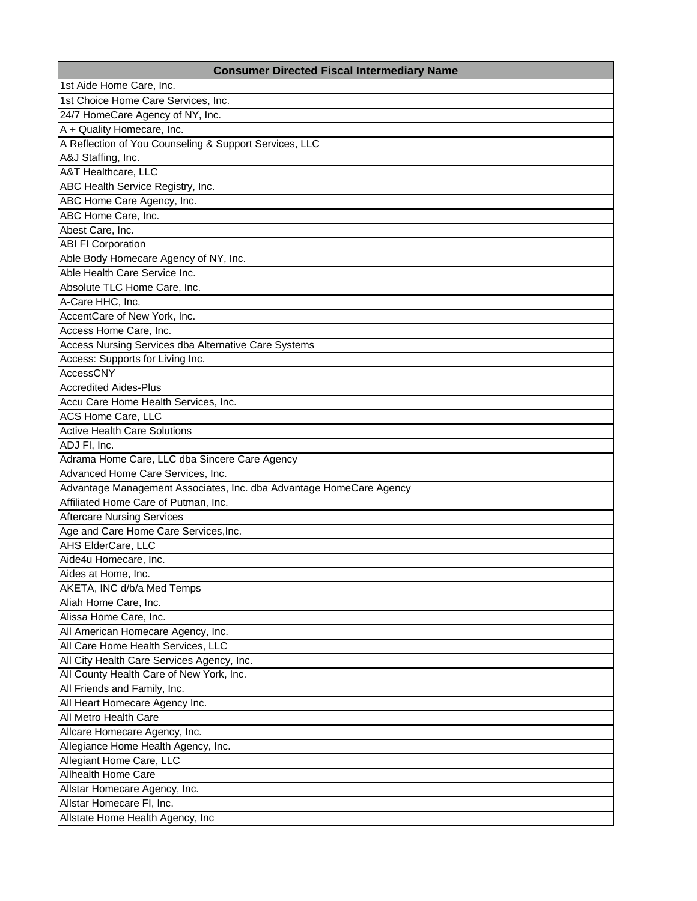| <b>Consumer Directed Fiscal Intermediary Name</b>                   |
|---------------------------------------------------------------------|
| 1st Aide Home Care, Inc.                                            |
| 1st Choice Home Care Services, Inc.                                 |
| 24/7 HomeCare Agency of NY, Inc.                                    |
| A + Quality Homecare, Inc.                                          |
| A Reflection of You Counseling & Support Services, LLC              |
| A&J Staffing, Inc.                                                  |
| A&T Healthcare, LLC                                                 |
| ABC Health Service Registry, Inc.                                   |
| ABC Home Care Agency, Inc.                                          |
| ABC Home Care, Inc.                                                 |
| Abest Care, Inc.                                                    |
| <b>ABI FI Corporation</b>                                           |
| Able Body Homecare Agency of NY, Inc.                               |
| Able Health Care Service Inc.                                       |
| Absolute TLC Home Care, Inc.                                        |
| A-Care HHC, Inc.                                                    |
| AccentCare of New York, Inc.                                        |
| Access Home Care, Inc.                                              |
| Access Nursing Services dba Alternative Care Systems                |
| Access: Supports for Living Inc.                                    |
| <b>AccessCNY</b>                                                    |
| <b>Accredited Aides-Plus</b>                                        |
| Accu Care Home Health Services, Inc.                                |
| ACS Home Care, LLC                                                  |
| <b>Active Health Care Solutions</b>                                 |
| ADJ FI, Inc.                                                        |
| Adrama Home Care, LLC dba Sincere Care Agency                       |
| Advanced Home Care Services, Inc.                                   |
| Advantage Management Associates, Inc. dba Advantage HomeCare Agency |
| Affiliated Home Care of Putman, Inc.                                |
| <b>Aftercare Nursing Services</b>                                   |
| Age and Care Home Care Services, Inc.                               |
| AHS ElderCare, LLC                                                  |
| Aide4u Homecare, Inc.                                               |
| Aides at Home, Inc.                                                 |
| AKETA, INC d/b/a Med Temps                                          |
| Aliah Home Care, Inc.                                               |
| Alissa Home Care, Inc.                                              |
| All American Homecare Agency, Inc.                                  |
| All Care Home Health Services, LLC                                  |
| All City Health Care Services Agency, Inc.                          |
| All County Health Care of New York, Inc.                            |
| All Friends and Family, Inc.                                        |
| All Heart Homecare Agency Inc.                                      |
| All Metro Health Care                                               |
| Allcare Homecare Agency, Inc.                                       |
| Allegiance Home Health Agency, Inc.                                 |
| Allegiant Home Care, LLC                                            |
| <b>Allhealth Home Care</b>                                          |
| Allstar Homecare Agency, Inc.                                       |
| Allstar Homecare FI, Inc.                                           |
| Allstate Home Health Agency, Inc                                    |
|                                                                     |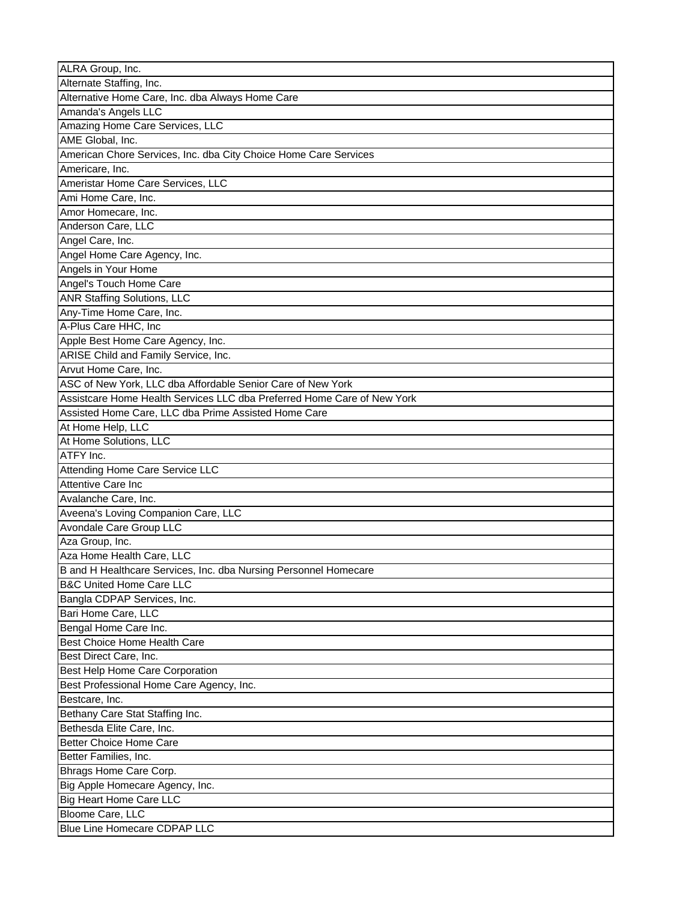| ALRA Group, Inc.                                                        |
|-------------------------------------------------------------------------|
| Alternate Staffing, Inc.                                                |
| Alternative Home Care, Inc. dba Always Home Care                        |
| Amanda's Angels LLC                                                     |
| Amazing Home Care Services, LLC                                         |
| AME Global, Inc.                                                        |
| American Chore Services, Inc. dba City Choice Home Care Services        |
| Americare, Inc.                                                         |
| Ameristar Home Care Services, LLC                                       |
| Ami Home Care, Inc.                                                     |
| Amor Homecare, Inc.                                                     |
| Anderson Care, LLC                                                      |
| Angel Care, Inc.                                                        |
| Angel Home Care Agency, Inc.                                            |
| Angels in Your Home                                                     |
| Angel's Touch Home Care                                                 |
| <b>ANR Staffing Solutions, LLC</b>                                      |
| Any-Time Home Care, Inc.                                                |
| A-Plus Care HHC, Inc                                                    |
| Apple Best Home Care Agency, Inc.                                       |
| ARISE Child and Family Service, Inc.                                    |
| Arvut Home Care, Inc.                                                   |
| ASC of New York, LLC dba Affordable Senior Care of New York             |
| Assistcare Home Health Services LLC dba Preferred Home Care of New York |
| Assisted Home Care, LLC dba Prime Assisted Home Care                    |
| At Home Help, LLC                                                       |
| At Home Solutions, LLC                                                  |
|                                                                         |
|                                                                         |
| ATFY Inc.                                                               |
| Attending Home Care Service LLC                                         |
| Attentive Care Inc                                                      |
| Avalanche Care, Inc.                                                    |
| Aveena's Loving Companion Care, LLC                                     |
| Avondale Care Group LLC                                                 |
| Aza Group, Inc.                                                         |
| Aza Home Health Care, LLC                                               |
| B and H Healthcare Services, Inc. dba Nursing Personnel Homecare        |
| <b>B&amp;C United Home Care LLC</b>                                     |
| Bangla CDPAP Services, Inc.                                             |
| Bari Home Care, LLC                                                     |
| Bengal Home Care Inc.                                                   |
| <b>Best Choice Home Health Care</b>                                     |
| Best Direct Care, Inc.                                                  |
| Best Help Home Care Corporation                                         |
| Best Professional Home Care Agency, Inc.                                |
| Bestcare, Inc.                                                          |
| Bethany Care Stat Staffing Inc.                                         |
| Bethesda Elite Care, Inc.                                               |
| <b>Better Choice Home Care</b>                                          |
| Better Families, Inc.                                                   |
| Bhrags Home Care Corp.                                                  |
| Big Apple Homecare Agency, Inc.                                         |
| <b>Big Heart Home Care LLC</b>                                          |
| Bloome Care, LLC<br><b>Blue Line Homecare CDPAP LLC</b>                 |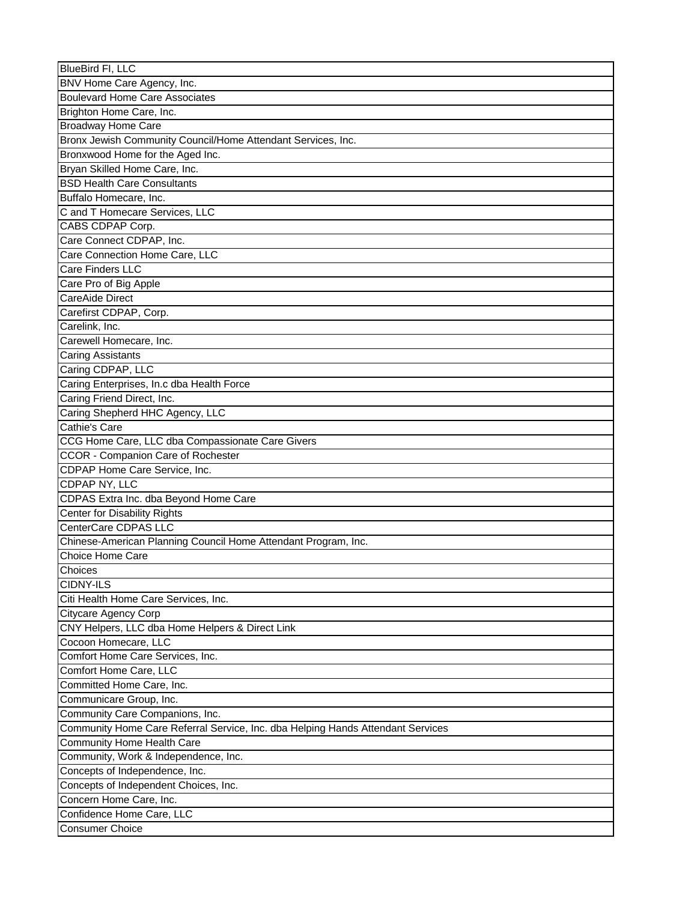| <b>BlueBird FI, LLC</b>                                                         |
|---------------------------------------------------------------------------------|
| BNV Home Care Agency, Inc.                                                      |
| <b>Boulevard Home Care Associates</b>                                           |
| Brighton Home Care, Inc.                                                        |
| <b>Broadway Home Care</b>                                                       |
| Bronx Jewish Community Council/Home Attendant Services, Inc.                    |
| Bronxwood Home for the Aged Inc.                                                |
| Bryan Skilled Home Care, Inc.                                                   |
| <b>BSD Health Care Consultants</b>                                              |
| Buffalo Homecare, Inc.                                                          |
| C and T Homecare Services, LLC                                                  |
| CABS CDPAP Corp.                                                                |
| Care Connect CDPAP, Inc.                                                        |
| Care Connection Home Care, LLC                                                  |
| Care Finders LLC                                                                |
| Care Pro of Big Apple                                                           |
| <b>CareAide Direct</b>                                                          |
| Carefirst CDPAP, Corp.                                                          |
| Carelink, Inc.                                                                  |
| Carewell Homecare, Inc.                                                         |
| <b>Caring Assistants</b>                                                        |
| Caring CDPAP, LLC                                                               |
| Caring Enterprises, In.c dba Health Force                                       |
| Caring Friend Direct, Inc.                                                      |
| Caring Shepherd HHC Agency, LLC                                                 |
| Cathie's Care                                                                   |
| CCG Home Care, LLC dba Compassionate Care Givers                                |
| <b>CCOR</b> - Companion Care of Rochester                                       |
| CDPAP Home Care Service, Inc.                                                   |
| CDPAP NY, LLC                                                                   |
| CDPAS Extra Inc. dba Beyond Home Care                                           |
| <b>Center for Disability Rights</b>                                             |
| CenterCare CDPAS LLC                                                            |
| Chinese-American Planning Council Home Attendant Program, Inc.                  |
| Choice Home Care                                                                |
|                                                                                 |
| Choices                                                                         |
| CIDNY-ILS                                                                       |
| Citi Health Home Care Services, Inc.                                            |
| Citycare Agency Corp                                                            |
| CNY Helpers, LLC dba Home Helpers & Direct Link                                 |
| Cocoon Homecare, LLC                                                            |
| Comfort Home Care Services, Inc.                                                |
| Comfort Home Care, LLC                                                          |
| Committed Home Care, Inc.                                                       |
| Communicare Group, Inc.                                                         |
| Community Care Companions, Inc.                                                 |
| Community Home Care Referral Service, Inc. dba Helping Hands Attendant Services |
| <b>Community Home Health Care</b>                                               |
| Community, Work & Independence, Inc.                                            |
| Concepts of Independence, Inc.                                                  |
| Concepts of Independent Choices, Inc.                                           |
| Concern Home Care, Inc.                                                         |
| Confidence Home Care, LLC                                                       |
| <b>Consumer Choice</b>                                                          |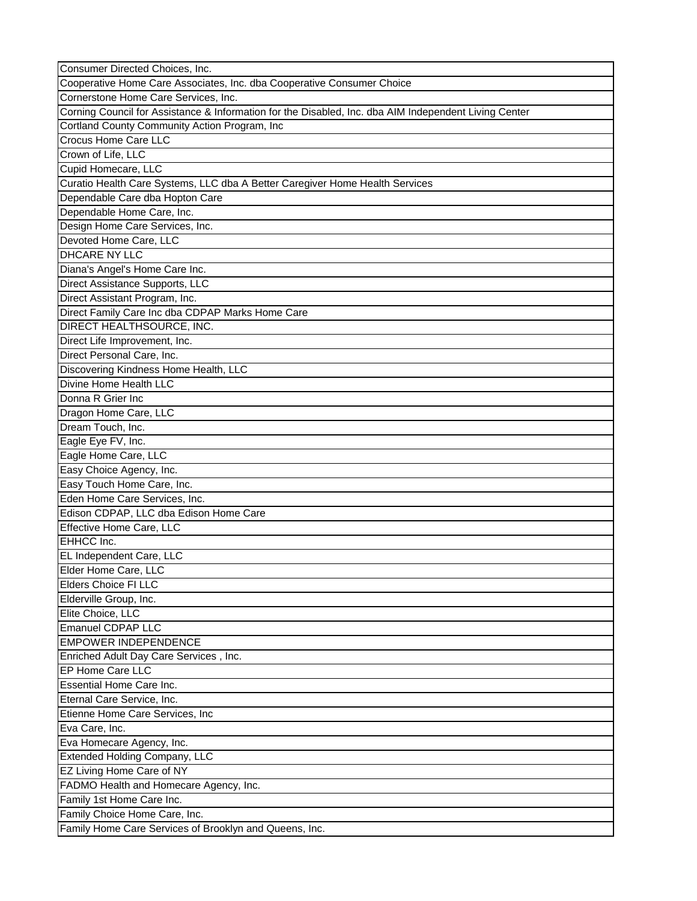| Consumer Directed Choices, Inc.                                                                       |
|-------------------------------------------------------------------------------------------------------|
| Cooperative Home Care Associates, Inc. dba Cooperative Consumer Choice                                |
| Cornerstone Home Care Services, Inc.                                                                  |
| Corning Council for Assistance & Information for the Disabled, Inc. dba AIM Independent Living Center |
| Cortland County Community Action Program, Inc                                                         |
| Crocus Home Care LLC                                                                                  |
| Crown of Life, LLC                                                                                    |
| Cupid Homecare, LLC                                                                                   |
| Curatio Health Care Systems, LLC dba A Better Caregiver Home Health Services                          |
| Dependable Care dba Hopton Care                                                                       |
| Dependable Home Care, Inc.                                                                            |
| Design Home Care Services, Inc.                                                                       |
| Devoted Home Care, LLC                                                                                |
| DHCARE NY LLC                                                                                         |
| Diana's Angel's Home Care Inc.                                                                        |
| Direct Assistance Supports, LLC                                                                       |
| Direct Assistant Program, Inc.                                                                        |
| Direct Family Care Inc dba CDPAP Marks Home Care                                                      |
|                                                                                                       |
| DIRECT HEALTHSOURCE, INC.                                                                             |
| Direct Life Improvement, Inc.                                                                         |
| Direct Personal Care, Inc.                                                                            |
| Discovering Kindness Home Health, LLC                                                                 |
| Divine Home Health LLC                                                                                |
| Donna R Grier Inc                                                                                     |
| Dragon Home Care, LLC                                                                                 |
| Dream Touch, Inc.                                                                                     |
| Eagle Eye FV, Inc.                                                                                    |
| Eagle Home Care, LLC                                                                                  |
| Easy Choice Agency, Inc.                                                                              |
| Easy Touch Home Care, Inc.                                                                            |
| Eden Home Care Services, Inc.                                                                         |
| Edison CDPAP, LLC dba Edison Home Care                                                                |
| Effective Home Care, LLC                                                                              |
| EHHCC Inc.                                                                                            |
| EL Independent Care, LLC                                                                              |
| Elder Home Care, LLC                                                                                  |
| <b>Elders Choice FI LLC</b>                                                                           |
| Elderville Group, Inc.                                                                                |
| Elite Choice, LLC                                                                                     |
| <b>Emanuel CDPAP LLC</b>                                                                              |
| <b>EMPOWER INDEPENDENCE</b>                                                                           |
| Enriched Adult Day Care Services, Inc.                                                                |
| EP Home Care LLC                                                                                      |
| Essential Home Care Inc.                                                                              |
| Eternal Care Service, Inc.                                                                            |
| Etienne Home Care Services, Inc                                                                       |
| Eva Care, Inc.                                                                                        |
| Eva Homecare Agency, Inc.                                                                             |
| <b>Extended Holding Company, LLC</b>                                                                  |
|                                                                                                       |
| EZ Living Home Care of NY                                                                             |
| FADMO Health and Homecare Agency, Inc.                                                                |
| Family 1st Home Care Inc.                                                                             |
| Family Choice Home Care, Inc.                                                                         |
| Family Home Care Services of Brooklyn and Queens, Inc.                                                |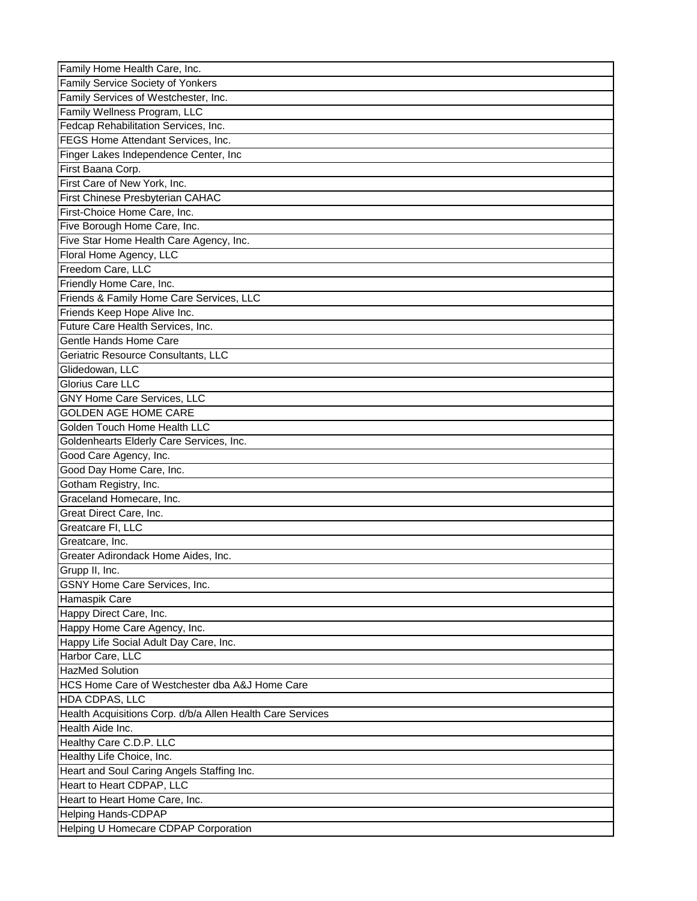| Family Home Health Care, Inc.                              |
|------------------------------------------------------------|
| Family Service Society of Yonkers                          |
| Family Services of Westchester, Inc.                       |
| Family Wellness Program, LLC                               |
| Fedcap Rehabilitation Services, Inc.                       |
| FEGS Home Attendant Services, Inc.                         |
| Finger Lakes Independence Center, Inc                      |
| First Baana Corp.                                          |
| First Care of New York, Inc.                               |
| First Chinese Presbyterian CAHAC                           |
| First-Choice Home Care, Inc.                               |
| Five Borough Home Care, Inc.                               |
| Five Star Home Health Care Agency, Inc.                    |
| Floral Home Agency, LLC                                    |
| Freedom Care, LLC                                          |
| Friendly Home Care, Inc.                                   |
| Friends & Family Home Care Services, LLC                   |
| Friends Keep Hope Alive Inc.                               |
| Future Care Health Services, Inc.                          |
| Gentle Hands Home Care                                     |
| Geriatric Resource Consultants, LLC                        |
| Glidedowan, LLC                                            |
| Glorius Care LLC                                           |
| GNY Home Care Services, LLC                                |
| <b>GOLDEN AGE HOME CARE</b>                                |
| Golden Touch Home Health LLC                               |
| Goldenhearts Elderly Care Services, Inc.                   |
| Good Care Agency, Inc.                                     |
| Good Day Home Care, Inc.                                   |
| Gotham Registry, Inc.                                      |
| Graceland Homecare, Inc.                                   |
| Great Direct Care, Inc.                                    |
| Greatcare FI, LLC                                          |
| Greatcare, Inc.                                            |
| Greater Adirondack Home Aides, Inc.                        |
| Grupp II, Inc.                                             |
| <b>GSNY Home Care Services, Inc.</b>                       |
| Hamaspik Care                                              |
| Happy Direct Care, Inc.                                    |
| Happy Home Care Agency, Inc.                               |
| Happy Life Social Adult Day Care, Inc.                     |
| Harbor Care, LLC                                           |
| <b>HazMed Solution</b>                                     |
| HCS Home Care of Westchester dba A&J Home Care             |
| HDA CDPAS, LLC                                             |
| Health Acquisitions Corp. d/b/a Allen Health Care Services |
| Health Aide Inc.                                           |
| Healthy Care C.D.P. LLC                                    |
| Healthy Life Choice, Inc.                                  |
| Heart and Soul Caring Angels Staffing Inc.                 |
| Heart to Heart CDPAP, LLC                                  |
| Heart to Heart Home Care, Inc.                             |
| <b>Helping Hands-CDPAP</b>                                 |
| Helping U Homecare CDPAP Corporation                       |
|                                                            |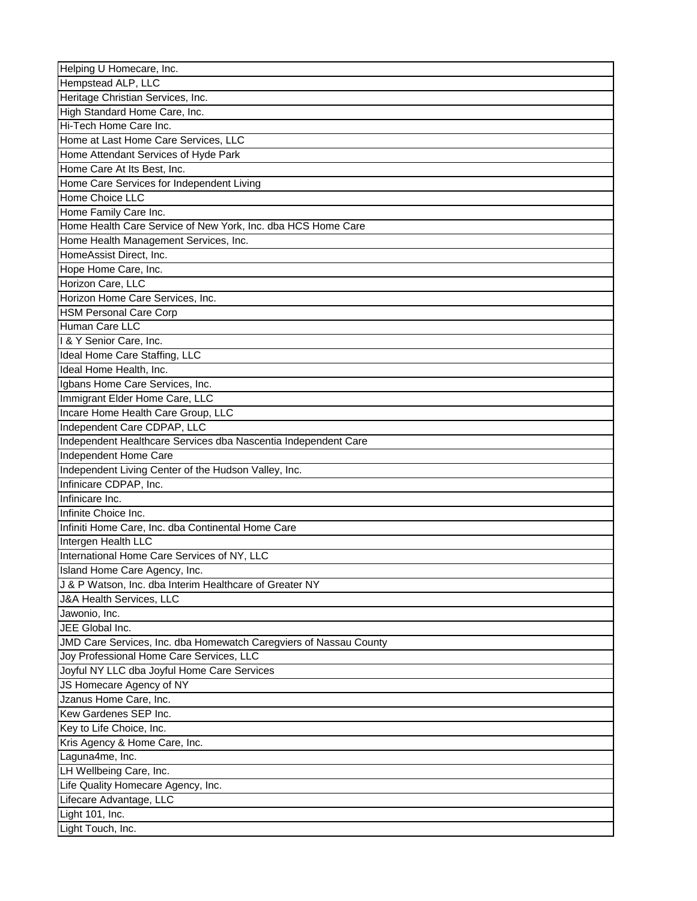| Helping U Homecare, Inc.                                          |
|-------------------------------------------------------------------|
| Hempstead ALP, LLC                                                |
| Heritage Christian Services, Inc.                                 |
| High Standard Home Care, Inc.                                     |
| Hi-Tech Home Care Inc.                                            |
| Home at Last Home Care Services, LLC                              |
| Home Attendant Services of Hyde Park                              |
| Home Care At Its Best, Inc.                                       |
| Home Care Services for Independent Living                         |
| Home Choice LLC                                                   |
| Home Family Care Inc.                                             |
| Home Health Care Service of New York, Inc. dba HCS Home Care      |
| Home Health Management Services, Inc.                             |
| HomeAssist Direct, Inc.                                           |
| Hope Home Care, Inc.                                              |
| Horizon Care, LLC                                                 |
| Horizon Home Care Services, Inc.                                  |
| <b>HSM Personal Care Corp</b>                                     |
| Human Care LLC                                                    |
| 1 & Y Senior Care, Inc.                                           |
| Ideal Home Care Staffing, LLC                                     |
| Ideal Home Health, Inc.                                           |
| Igbans Home Care Services, Inc.                                   |
| Immigrant Elder Home Care, LLC                                    |
| Incare Home Health Care Group, LLC                                |
| Independent Care CDPAP, LLC                                       |
| Independent Healthcare Services dba Nascentia Independent Care    |
| Independent Home Care                                             |
| Independent Living Center of the Hudson Valley, Inc.              |
| Infinicare CDPAP, Inc.                                            |
| Infinicare Inc.                                                   |
| Infinite Choice Inc.                                              |
|                                                                   |
| Infiniti Home Care, Inc. dba Continental Home Care                |
| Intergen Health LLC                                               |
| International Home Care Services of NY, LLC                       |
| Island Home Care Agency, Inc.                                     |
| J & P Watson, Inc. dba Interim Healthcare of Greater NY           |
| J&A Health Services, LLC                                          |
| Jawonio, Inc.                                                     |
| JEE Global Inc.                                                   |
| JMD Care Services, Inc. dba Homewatch Caregviers of Nassau County |
| Joy Professional Home Care Services, LLC                          |
| Joyful NY LLC dba Joyful Home Care Services                       |
| JS Homecare Agency of NY                                          |
| Jzanus Home Care, Inc.                                            |
|                                                                   |
| Kew Gardenes SEP Inc.                                             |
| Key to Life Choice, Inc.                                          |
| Kris Agency & Home Care, Inc.                                     |
| Laguna4me, Inc.                                                   |
| LH Wellbeing Care, Inc.                                           |
| Life Quality Homecare Agency, Inc.                                |
| Lifecare Advantage, LLC                                           |
| Light 101, Inc.<br>Light Touch, Inc.                              |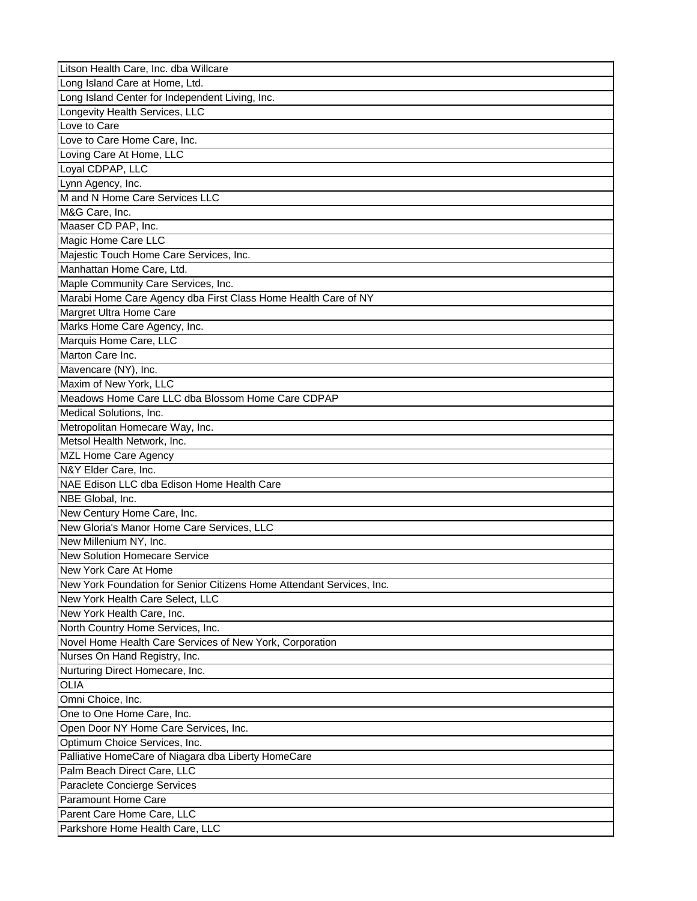| Litson Health Care, Inc. dba Willcare                                 |
|-----------------------------------------------------------------------|
| Long Island Care at Home, Ltd.                                        |
| Long Island Center for Independent Living, Inc.                       |
| Longevity Health Services, LLC                                        |
| Love to Care                                                          |
| Love to Care Home Care, Inc.                                          |
| Loving Care At Home, LLC                                              |
| Loyal CDPAP, LLC                                                      |
| Lynn Agency, Inc.                                                     |
| M and N Home Care Services LLC                                        |
| M&G Care, Inc.                                                        |
| Maaser CD PAP, Inc.                                                   |
| Magic Home Care LLC                                                   |
| Majestic Touch Home Care Services, Inc.                               |
| Manhattan Home Care, Ltd.                                             |
| Maple Community Care Services, Inc.                                   |
| Marabi Home Care Agency dba First Class Home Health Care of NY        |
| Margret Ultra Home Care                                               |
| Marks Home Care Agency, Inc.                                          |
| Marquis Home Care, LLC                                                |
| Marton Care Inc.                                                      |
| Mavencare (NY), Inc.                                                  |
| Maxim of New York, LLC                                                |
| Meadows Home Care LLC dba Blossom Home Care CDPAP                     |
| Medical Solutions, Inc.                                               |
| Metropolitan Homecare Way, Inc.                                       |
| Metsol Health Network, Inc.                                           |
|                                                                       |
|                                                                       |
| MZL Home Care Agency                                                  |
| N&Y Elder Care, Inc.                                                  |
| NAE Edison LLC dba Edison Home Health Care                            |
| NBE Global, Inc.                                                      |
| New Century Home Care, Inc.                                           |
| New Gloria's Manor Home Care Services, LLC                            |
| New Millenium NY, Inc.                                                |
| <b>New Solution Homecare Service</b>                                  |
| New York Care At Home                                                 |
| New York Foundation for Senior Citizens Home Attendant Services, Inc. |
| New York Health Care Select, LLC                                      |
| New York Health Care, Inc.                                            |
| North Country Home Services, Inc.                                     |
| Novel Home Health Care Services of New York, Corporation              |
| Nurses On Hand Registry, Inc.                                         |
| Nurturing Direct Homecare, Inc.                                       |
| OLIA                                                                  |
| Omni Choice, Inc.                                                     |
| One to One Home Care, Inc.                                            |
| Open Door NY Home Care Services, Inc.                                 |
| Optimum Choice Services, Inc.                                         |
| Palliative HomeCare of Niagara dba Liberty HomeCare                   |
| Palm Beach Direct Care, LLC                                           |
| Paraclete Concierge Services                                          |
| Paramount Home Care                                                   |
| Parent Care Home Care, LLC                                            |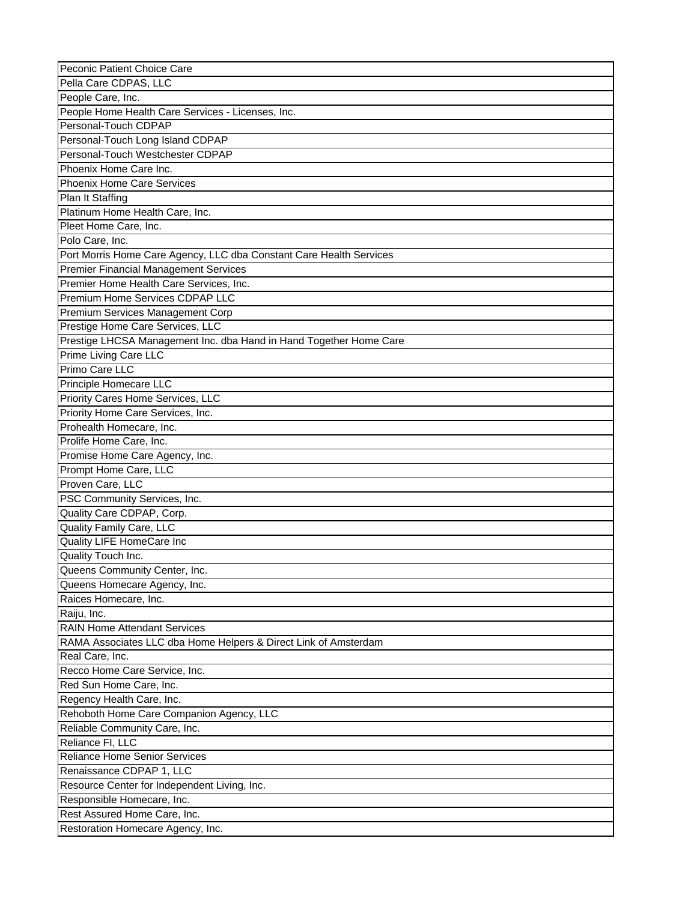| Peconic Patient Choice Care                                         |
|---------------------------------------------------------------------|
| Pella Care CDPAS, LLC                                               |
| People Care, Inc.                                                   |
| People Home Health Care Services - Licenses, Inc.                   |
| Personal-Touch CDPAP                                                |
| Personal-Touch Long Island CDPAP                                    |
| Personal-Touch Westchester CDPAP                                    |
| Phoenix Home Care Inc.                                              |
| <b>Phoenix Home Care Services</b>                                   |
| Plan It Staffing                                                    |
| Platinum Home Health Care, Inc.                                     |
| Pleet Home Care, Inc.                                               |
| Polo Care, Inc.                                                     |
| Port Morris Home Care Agency, LLC dba Constant Care Health Services |
| Premier Financial Management Services                               |
| Premier Home Health Care Services, Inc.                             |
| Premium Home Services CDPAP LLC                                     |
| Premium Services Management Corp                                    |
|                                                                     |
| Prestige Home Care Services, LLC                                    |
| Prestige LHCSA Management Inc. dba Hand in Hand Together Home Care  |
| Prime Living Care LLC                                               |
| Primo Care LLC                                                      |
| Principle Homecare LLC                                              |
| Priority Cares Home Services, LLC                                   |
| Priority Home Care Services, Inc.                                   |
| Prohealth Homecare, Inc.                                            |
| Prolife Home Care, Inc.                                             |
| Promise Home Care Agency, Inc.                                      |
| Prompt Home Care, LLC                                               |
| Proven Care, LLC                                                    |
| PSC Community Services, Inc.                                        |
| Quality Care CDPAP, Corp.                                           |
| Quality Family Care, LLC                                            |
| Quality LIFE HomeCare Inc                                           |
| Quality Touch Inc.                                                  |
| Queens Community Center, Inc.                                       |
| Queens Homecare Agency, Inc.                                        |
| Raices Homecare, Inc.                                               |
| Raiju, Inc.                                                         |
| <b>RAIN Home Attendant Services</b>                                 |
| RAMA Associates LLC dba Home Helpers & Direct Link of Amsterdam     |
| Real Care, Inc.                                                     |
| Recco Home Care Service, Inc.                                       |
| Red Sun Home Care, Inc.                                             |
| Regency Health Care, Inc.                                           |
| Rehoboth Home Care Companion Agency, LLC                            |
| Reliable Community Care, Inc.                                       |
| Reliance FI, LLC                                                    |
| Reliance Home Senior Services                                       |
| Renaissance CDPAP 1, LLC                                            |
| Resource Center for Independent Living, Inc.                        |
| Responsible Homecare, Inc.                                          |
|                                                                     |
| Rest Assured Home Care, Inc.                                        |
| Restoration Homecare Agency, Inc.                                   |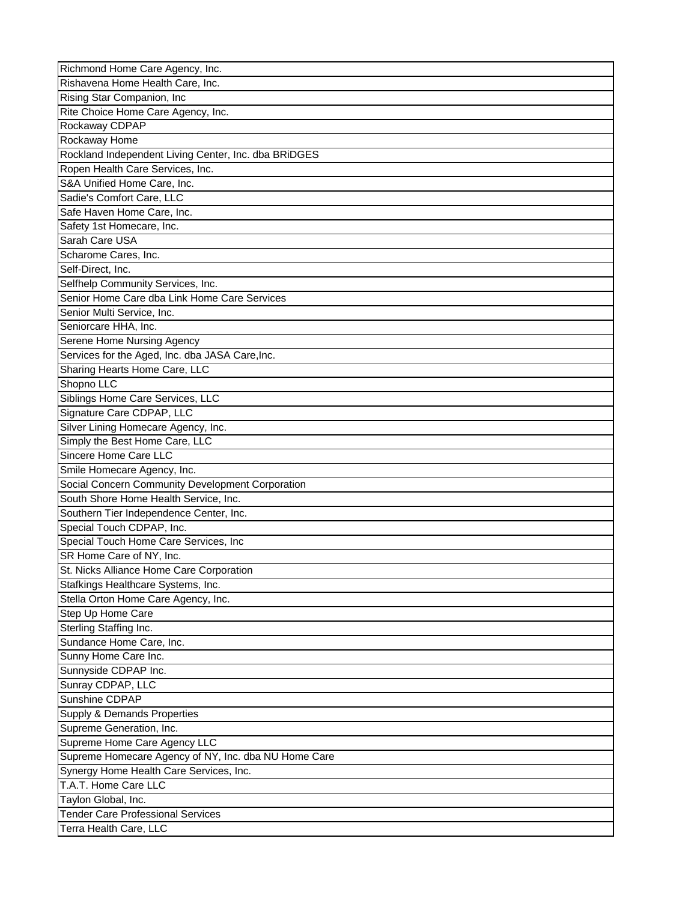| Richmond Home Care Agency, Inc.                      |
|------------------------------------------------------|
| Rishavena Home Health Care, Inc.                     |
| Rising Star Companion, Inc                           |
| Rite Choice Home Care Agency, Inc.                   |
| Rockaway CDPAP                                       |
| Rockaway Home                                        |
| Rockland Independent Living Center, Inc. dba BRiDGES |
| Ropen Health Care Services, Inc.                     |
| S&A Unified Home Care, Inc.                          |
| Sadie's Comfort Care, LLC                            |
| Safe Haven Home Care, Inc.                           |
| Safety 1st Homecare, Inc.                            |
| Sarah Care USA                                       |
| Scharome Cares, Inc.                                 |
| Self-Direct, Inc.                                    |
| Selfhelp Community Services, Inc.                    |
| Senior Home Care dba Link Home Care Services         |
| Senior Multi Service, Inc.                           |
| Seniorcare HHA, Inc.                                 |
| Serene Home Nursing Agency                           |
| Services for the Aged, Inc. dba JASA Care, Inc.      |
| Sharing Hearts Home Care, LLC                        |
| Shopno LLC                                           |
|                                                      |
| Siblings Home Care Services, LLC                     |
| Signature Care CDPAP, LLC                            |
| Silver Lining Homecare Agency, Inc.                  |
| Simply the Best Home Care, LLC                       |
| Sincere Home Care LLC                                |
| Smile Homecare Agency, Inc.                          |
| Social Concern Community Development Corporation     |
| South Shore Home Health Service, Inc.                |
| Southern Tier Independence Center, Inc.              |
| Special Touch CDPAP, Inc.                            |
| Special Touch Home Care Services, Inc.               |
| SR Home Care of NY, Inc.                             |
| St. Nicks Alliance Home Care Corporation             |
| Stafkings Healthcare Systems, Inc.                   |
| Stella Orton Home Care Agency, Inc.                  |
| Step Up Home Care                                    |
| Sterling Staffing Inc.                               |
| Sundance Home Care, Inc.                             |
| Sunny Home Care Inc.                                 |
| Sunnyside CDPAP Inc.                                 |
| Sunray CDPAP, LLC                                    |
| Sunshine CDPAP                                       |
| Supply & Demands Properties                          |
| Supreme Generation, Inc.                             |
| Supreme Home Care Agency LLC                         |
| Supreme Homecare Agency of NY, Inc. dba NU Home Care |
| Synergy Home Health Care Services, Inc.              |
| T.A.T. Home Care LLC                                 |
| Taylon Global, Inc.                                  |
| <b>Tender Care Professional Services</b>             |
| Terra Health Care, LLC                               |
|                                                      |